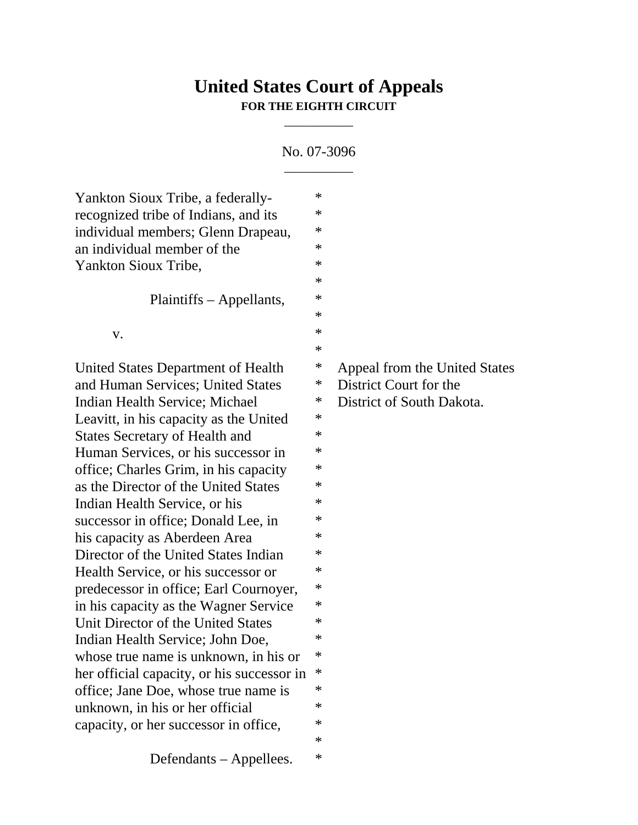## **United States Court of Appeals FOR THE EIGHTH CIRCUIT**

## No. 07-3096  $\overline{\phantom{a}}$

\_\_\_\_\_\_\_\_\_\_\_

| Yankton Sioux Tribe, a federally-          | $\ast$ |                               |
|--------------------------------------------|--------|-------------------------------|
| recognized tribe of Indians, and its       | ∗      |                               |
| individual members; Glenn Drapeau,         | $\ast$ |                               |
| an individual member of the                | ∗      |                               |
| Yankton Sioux Tribe,                       | ∗      |                               |
|                                            | ∗      |                               |
| Plaintiffs – Appellants,                   | $\ast$ |                               |
|                                            | $\ast$ |                               |
| V.                                         | $\ast$ |                               |
|                                            | $\ast$ |                               |
| United States Department of Health         | $\ast$ | Appeal from the United States |
| and Human Services; United States          | $\ast$ | District Court for the        |
| Indian Health Service; Michael             | $\ast$ | District of South Dakota.     |
| Leavitt, in his capacity as the United     | $\ast$ |                               |
| <b>States Secretary of Health and</b>      | $\ast$ |                               |
| Human Services, or his successor in        | ∗      |                               |
| office; Charles Grim, in his capacity      | ∗      |                               |
| as the Director of the United States       | ∗      |                               |
| Indian Health Service, or his              | ∗      |                               |
| successor in office; Donald Lee, in        | ∗      |                               |
| his capacity as Aberdeen Area              | ∗      |                               |
| Director of the United States Indian       | $\ast$ |                               |
| Health Service, or his successor or        | ∗      |                               |
| predecessor in office; Earl Cournoyer,     | ∗      |                               |
| in his capacity as the Wagner Service      | ∗      |                               |
| Unit Director of the United States         | ∗      |                               |
| Indian Health Service; John Doe,           | ∗      |                               |
| whose true name is unknown, in his or      | ∗      |                               |
| her official capacity, or his successor in | ∗      |                               |
| office; Jane Doe, whose true name is       | ∗      |                               |
| unknown, in his or her official            | ∗      |                               |
| capacity, or her successor in office,      | ∗      |                               |
|                                            | ∗      |                               |
| Defendants – Appellees.                    | ∗      |                               |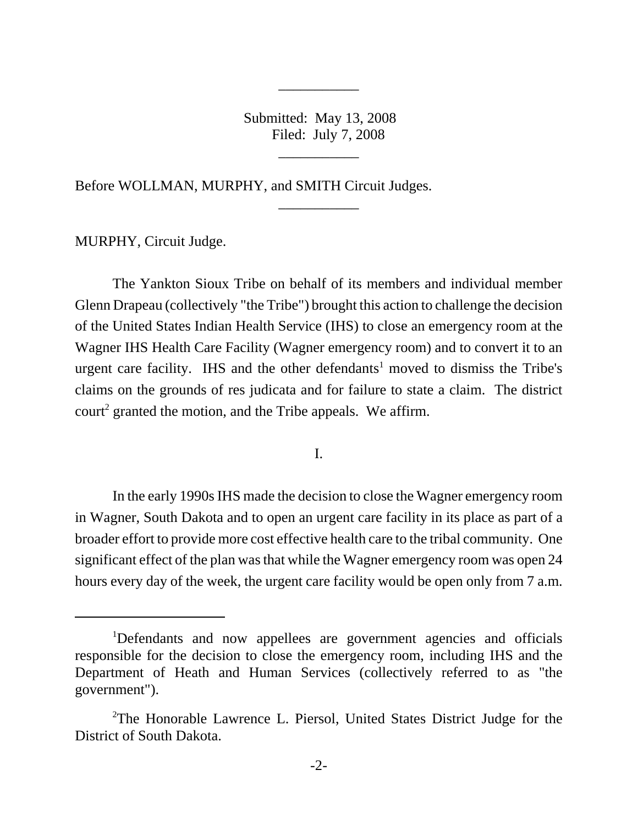Submitted: May 13, 2008 Filed: July 7, 2008

\_\_\_\_\_\_\_\_\_\_\_

\_\_\_\_\_\_\_\_\_\_\_

\_\_\_\_\_\_\_\_\_\_\_

Before WOLLMAN, MURPHY, and SMITH Circuit Judges.

MURPHY, Circuit Judge.

The Yankton Sioux Tribe on behalf of its members and individual member Glenn Drapeau (collectively "the Tribe") brought this action to challenge the decision of the United States Indian Health Service (IHS) to close an emergency room at the Wagner IHS Health Care Facility (Wagner emergency room) and to convert it to an urgent care facility. IHS and the other defendants<sup>1</sup> moved to dismiss the Tribe's claims on the grounds of res judicata and for failure to state a claim. The district court<sup>2</sup> granted the motion, and the Tribe appeals. We affirm.

I.

In the early 1990s IHS made the decision to close the Wagner emergency room in Wagner, South Dakota and to open an urgent care facility in its place as part of a broader effort to provide more cost effective health care to the tribal community. One significant effect of the plan was that while the Wagner emergency room was open 24 hours every day of the week, the urgent care facility would be open only from 7 a.m.

<sup>&</sup>lt;sup>1</sup>Defendants and now appellees are government agencies and officials responsible for the decision to close the emergency room, including IHS and the Department of Heath and Human Services (collectively referred to as "the government").

<sup>&</sup>lt;sup>2</sup>The Honorable Lawrence L. Piersol, United States District Judge for the District of South Dakota.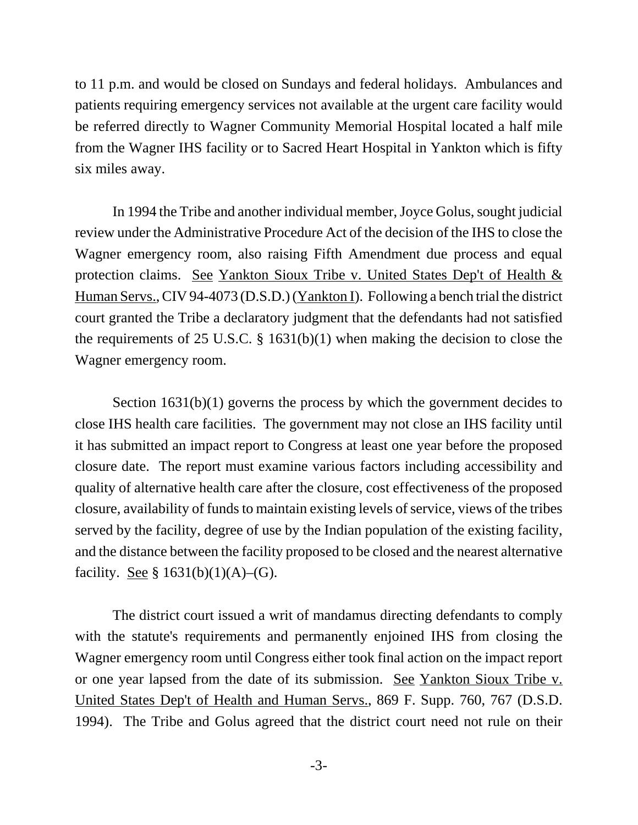to 11 p.m. and would be closed on Sundays and federal holidays. Ambulances and patients requiring emergency services not available at the urgent care facility would be referred directly to Wagner Community Memorial Hospital located a half mile from the Wagner IHS facility or to Sacred Heart Hospital in Yankton which is fifty six miles away.

In 1994 the Tribe and another individual member, Joyce Golus, sought judicial review under the Administrative Procedure Act of the decision of the IHS to close the Wagner emergency room, also raising Fifth Amendment due process and equal protection claims. See Yankton Sioux Tribe v. United States Dep't of Health & Human Servs., CIV 94-4073 (D.S.D.) (Yankton I). Following a bench trial the district court granted the Tribe a declaratory judgment that the defendants had not satisfied the requirements of 25 U.S.C. § 1631(b)(1) when making the decision to close the Wagner emergency room.

Section 1631(b)(1) governs the process by which the government decides to close IHS health care facilities. The government may not close an IHS facility until it has submitted an impact report to Congress at least one year before the proposed closure date. The report must examine various factors including accessibility and quality of alternative health care after the closure, cost effectiveness of the proposed closure, availability of funds to maintain existing levels of service, views of the tribes served by the facility, degree of use by the Indian population of the existing facility, and the distance between the facility proposed to be closed and the nearest alternative facility. <u>See</u> § 1631(b)(1)(A)–(G).

The district court issued a writ of mandamus directing defendants to comply with the statute's requirements and permanently enjoined IHS from closing the Wagner emergency room until Congress either took final action on the impact report or one year lapsed from the date of its submission. See Yankton Sioux Tribe v. United States Dep't of Health and Human Servs., 869 F. Supp. 760, 767 (D.S.D. 1994). The Tribe and Golus agreed that the district court need not rule on their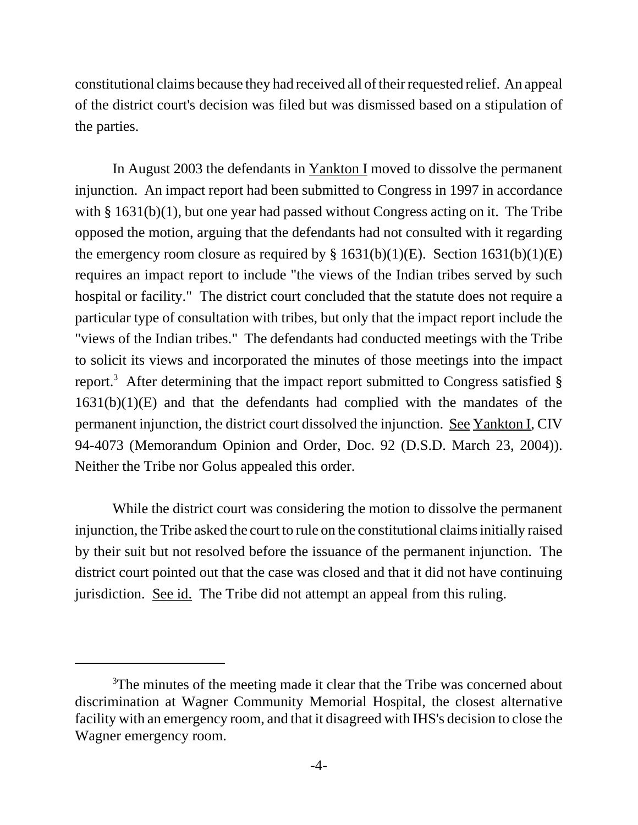constitutional claims because they had received all of their requested relief. An appeal of the district court's decision was filed but was dismissed based on a stipulation of the parties.

In August 2003 the defendants in <u>Yankton I</u> moved to dissolve the permanent injunction. An impact report had been submitted to Congress in 1997 in accordance with § 1631(b)(1), but one year had passed without Congress acting on it. The Tribe opposed the motion, arguing that the defendants had not consulted with it regarding the emergency room closure as required by  $\S 1631(b)(1)(E)$ . Section 1631(b)(1)(E) requires an impact report to include "the views of the Indian tribes served by such hospital or facility." The district court concluded that the statute does not require a particular type of consultation with tribes, but only that the impact report include the "views of the Indian tribes." The defendants had conducted meetings with the Tribe to solicit its views and incorporated the minutes of those meetings into the impact report.<sup>3</sup> After determining that the impact report submitted to Congress satisfied  $\S$  $1631(b)(1)(E)$  and that the defendants had complied with the mandates of the permanent injunction, the district court dissolved the injunction. See Yankton I, CIV 94-4073 (Memorandum Opinion and Order, Doc. 92 (D.S.D. March 23, 2004)). Neither the Tribe nor Golus appealed this order.

While the district court was considering the motion to dissolve the permanent injunction, the Tribe asked the court to rule on the constitutional claims initially raised by their suit but not resolved before the issuance of the permanent injunction. The district court pointed out that the case was closed and that it did not have continuing jurisdiction. See id. The Tribe did not attempt an appeal from this ruling.

<sup>&</sup>lt;sup>3</sup>The minutes of the meeting made it clear that the Tribe was concerned about discrimination at Wagner Community Memorial Hospital, the closest alternative facility with an emergency room, and that it disagreed with IHS's decision to close the Wagner emergency room.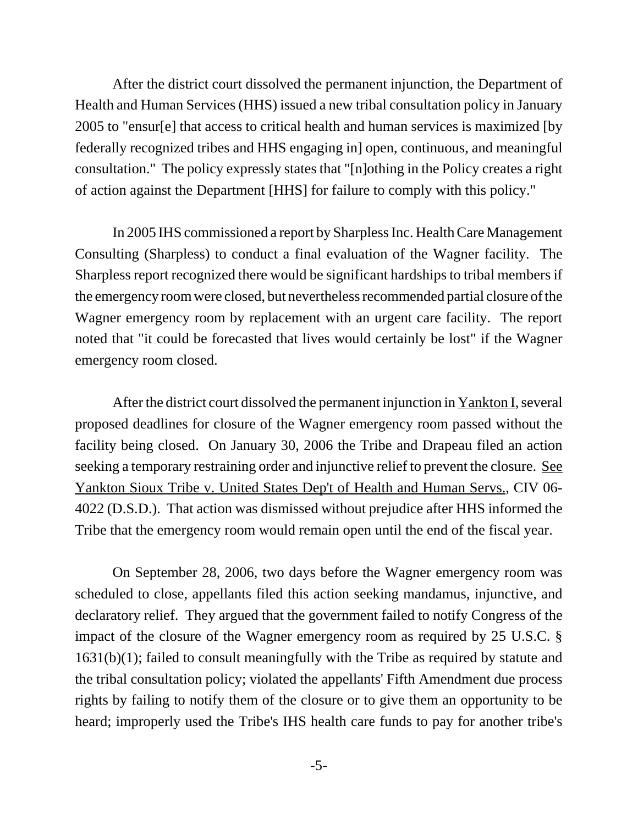After the district court dissolved the permanent injunction, the Department of Health and Human Services (HHS) issued a new tribal consultation policy in January 2005 to "ensur[e] that access to critical health and human services is maximized [by federally recognized tribes and HHS engaging in] open, continuous, and meaningful consultation." The policy expressly states that "[n]othing in the Policy creates a right of action against the Department [HHS] for failure to comply with this policy."

In 2005 IHS commissioned a report by Sharpless Inc. Health Care Management Consulting (Sharpless) to conduct a final evaluation of the Wagner facility. The Sharpless report recognized there would be significant hardships to tribal members if the emergency room were closed, but nevertheless recommended partial closure of the Wagner emergency room by replacement with an urgent care facility. The report noted that "it could be forecasted that lives would certainly be lost" if the Wagner emergency room closed.

After the district court dissolved the permanent injunction in Yankton I, several proposed deadlines for closure of the Wagner emergency room passed without the facility being closed. On January 30, 2006 the Tribe and Drapeau filed an action seeking a temporary restraining order and injunctive relief to prevent the closure. See Yankton Sioux Tribe v. United States Dep't of Health and Human Servs., CIV 06- 4022 (D.S.D.). That action was dismissed without prejudice after HHS informed the Tribe that the emergency room would remain open until the end of the fiscal year.

On September 28, 2006, two days before the Wagner emergency room was scheduled to close, appellants filed this action seeking mandamus, injunctive, and declaratory relief. They argued that the government failed to notify Congress of the impact of the closure of the Wagner emergency room as required by 25 U.S.C. § 1631(b)(1); failed to consult meaningfully with the Tribe as required by statute and the tribal consultation policy; violated the appellants' Fifth Amendment due process rights by failing to notify them of the closure or to give them an opportunity to be heard; improperly used the Tribe's IHS health care funds to pay for another tribe's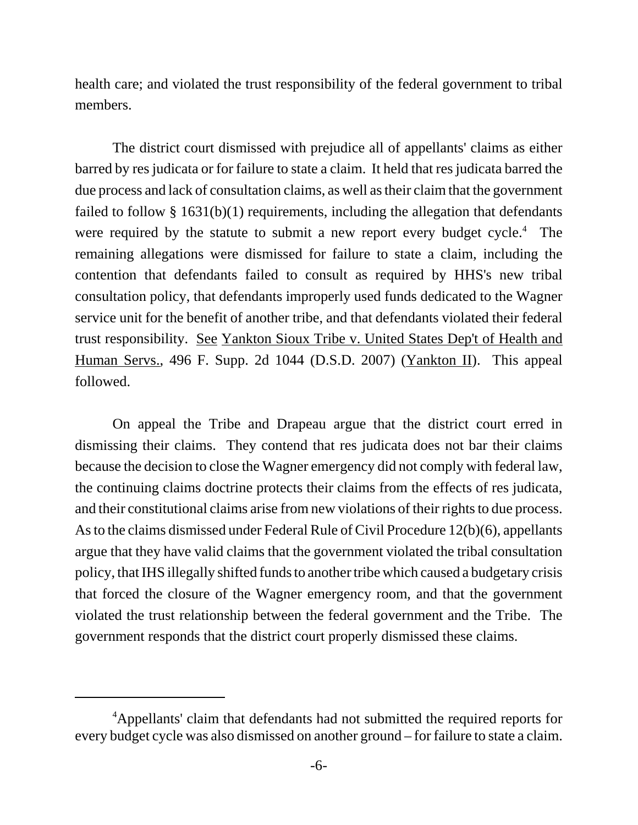health care; and violated the trust responsibility of the federal government to tribal members.

The district court dismissed with prejudice all of appellants' claims as either barred by res judicata or for failure to state a claim. It held that res judicata barred the due process and lack of consultation claims, as well as their claim that the government failed to follow § 1631(b)(1) requirements, including the allegation that defendants were required by the statute to submit a new report every budget  $cycle<sup>4</sup>$ . The remaining allegations were dismissed for failure to state a claim, including the contention that defendants failed to consult as required by HHS's new tribal consultation policy, that defendants improperly used funds dedicated to the Wagner service unit for the benefit of another tribe, and that defendants violated their federal trust responsibility. See Yankton Sioux Tribe v. United States Dep't of Health and Human Servs., 496 F. Supp. 2d 1044 (D.S.D. 2007) (Yankton II). This appeal followed.

On appeal the Tribe and Drapeau argue that the district court erred in dismissing their claims. They contend that res judicata does not bar their claims because the decision to close the Wagner emergency did not comply with federal law, the continuing claims doctrine protects their claims from the effects of res judicata, and their constitutional claims arise from new violations of their rights to due process. As to the claims dismissed under Federal Rule of Civil Procedure 12(b)(6), appellants argue that they have valid claims that the government violated the tribal consultation policy, that IHS illegally shifted funds to another tribe which caused a budgetary crisis that forced the closure of the Wagner emergency room, and that the government violated the trust relationship between the federal government and the Tribe. The government responds that the district court properly dismissed these claims.

<sup>&</sup>lt;sup>4</sup>Appellants' claim that defendants had not submitted the required reports for every budget cycle was also dismissed on another ground – for failure to state a claim.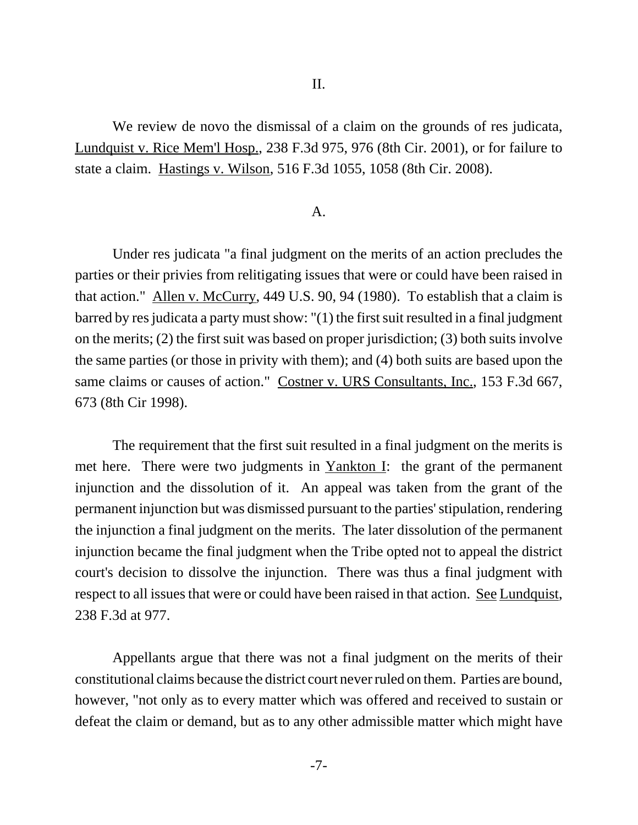We review de novo the dismissal of a claim on the grounds of res judicata, Lundquist v. Rice Mem'l Hosp., 238 F.3d 975, 976 (8th Cir. 2001), or for failure to state a claim. Hastings v. Wilson, 516 F.3d 1055, 1058 (8th Cir. 2008).

## A.

Under res judicata "a final judgment on the merits of an action precludes the parties or their privies from relitigating issues that were or could have been raised in that action." Allen v. McCurry, 449 U.S. 90, 94 (1980). To establish that a claim is barred by res judicata a party must show: "(1) the first suit resulted in a final judgment on the merits; (2) the first suit was based on proper jurisdiction; (3) both suits involve the same parties (or those in privity with them); and (4) both suits are based upon the same claims or causes of action." Costner v. URS Consultants, Inc., 153 F.3d 667, 673 (8th Cir 1998).

The requirement that the first suit resulted in a final judgment on the merits is met here. There were two judgments in Yankton I: the grant of the permanent injunction and the dissolution of it. An appeal was taken from the grant of the permanent injunction but was dismissed pursuant to the parties' stipulation, rendering the injunction a final judgment on the merits. The later dissolution of the permanent injunction became the final judgment when the Tribe opted not to appeal the district court's decision to dissolve the injunction. There was thus a final judgment with respect to all issues that were or could have been raised in that action. See Lundquist, 238 F.3d at 977.

Appellants argue that there was not a final judgment on the merits of their constitutional claims because the district court never ruled on them. Parties are bound, however, "not only as to every matter which was offered and received to sustain or defeat the claim or demand, but as to any other admissible matter which might have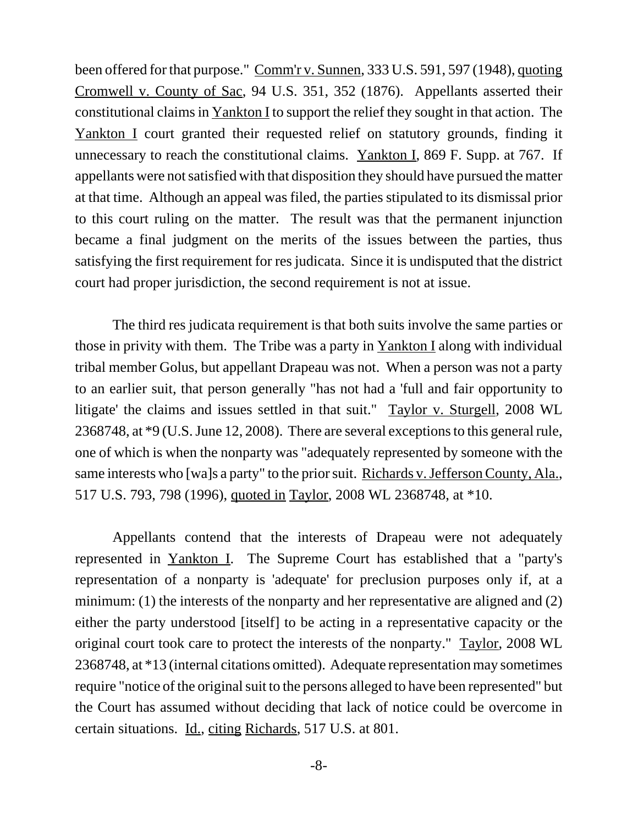been offered for that purpose." Comm'r v. Sunnen, 333 U.S. 591, 597 (1948), quoting Cromwell v. County of Sac, 94 U.S. 351, 352 (1876). Appellants asserted their constitutional claims in Yankton I to support the relief they sought in that action. The Yankton I court granted their requested relief on statutory grounds, finding it unnecessary to reach the constitutional claims. Yankton I, 869 F. Supp. at 767. If appellants were not satisfied with that disposition they should have pursued the matter at that time. Although an appeal was filed, the parties stipulated to its dismissal prior to this court ruling on the matter. The result was that the permanent injunction became a final judgment on the merits of the issues between the parties, thus satisfying the first requirement for res judicata. Since it is undisputed that the district court had proper jurisdiction, the second requirement is not at issue.

The third res judicata requirement is that both suits involve the same parties or those in privity with them. The Tribe was a party in Yankton I along with individual tribal member Golus, but appellant Drapeau was not. When a person was not a party to an earlier suit, that person generally "has not had a 'full and fair opportunity to litigate' the claims and issues settled in that suit." Taylor v. Sturgell, 2008 WL 2368748, at \*9 (U.S. June 12, 2008). There are several exceptions to this general rule, one of which is when the nonparty was "adequately represented by someone with the same interests who [wa]s a party" to the prior suit. Richards v. Jefferson County, Ala., 517 U.S. 793, 798 (1996), quoted in Taylor, 2008 WL 2368748, at \*10.

Appellants contend that the interests of Drapeau were not adequately represented in Yankton I. The Supreme Court has established that a "party's representation of a nonparty is 'adequate' for preclusion purposes only if, at a minimum: (1) the interests of the nonparty and her representative are aligned and (2) either the party understood [itself] to be acting in a representative capacity or the original court took care to protect the interests of the nonparty." Taylor, 2008 WL 2368748, at \*13 (internal citations omitted). Adequate representation may sometimes require "notice of the original suit to the persons alleged to have been represented" but the Court has assumed without deciding that lack of notice could be overcome in certain situations. Id., citing Richards, 517 U.S. at 801.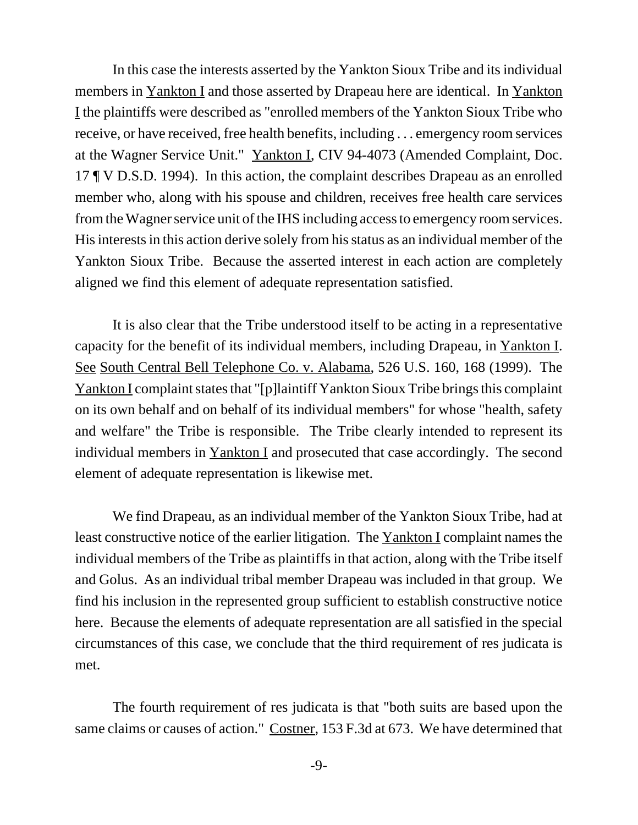In this case the interests asserted by the Yankton Sioux Tribe and its individual members in Yankton I and those asserted by Drapeau here are identical. In Yankton I the plaintiffs were described as "enrolled members of the Yankton Sioux Tribe who receive, or have received, free health benefits, including . . . emergency room services at the Wagner Service Unit." Yankton I, CIV 94-4073 (Amended Complaint, Doc. 17 ¶ V D.S.D. 1994). In this action, the complaint describes Drapeau as an enrolled member who, along with his spouse and children, receives free health care services from the Wagner service unit of the IHS including access to emergency room services. His interests in this action derive solely from his status as an individual member of the Yankton Sioux Tribe. Because the asserted interest in each action are completely aligned we find this element of adequate representation satisfied.

It is also clear that the Tribe understood itself to be acting in a representative capacity for the benefit of its individual members, including Drapeau, in Yankton I. See South Central Bell Telephone Co. v. Alabama, 526 U.S. 160, 168 (1999). The Yankton I complaint states that "[p]laintiff Yankton Sioux Tribe brings this complaint on its own behalf and on behalf of its individual members" for whose "health, safety and welfare" the Tribe is responsible. The Tribe clearly intended to represent its individual members in Yankton I and prosecuted that case accordingly. The second element of adequate representation is likewise met.

We find Drapeau, as an individual member of the Yankton Sioux Tribe, had at least constructive notice of the earlier litigation. The Yankton I complaint names the individual members of the Tribe as plaintiffs in that action, along with the Tribe itself and Golus. As an individual tribal member Drapeau was included in that group. We find his inclusion in the represented group sufficient to establish constructive notice here. Because the elements of adequate representation are all satisfied in the special circumstances of this case, we conclude that the third requirement of res judicata is met.

The fourth requirement of res judicata is that "both suits are based upon the same claims or causes of action." Costner, 153 F.3d at 673. We have determined that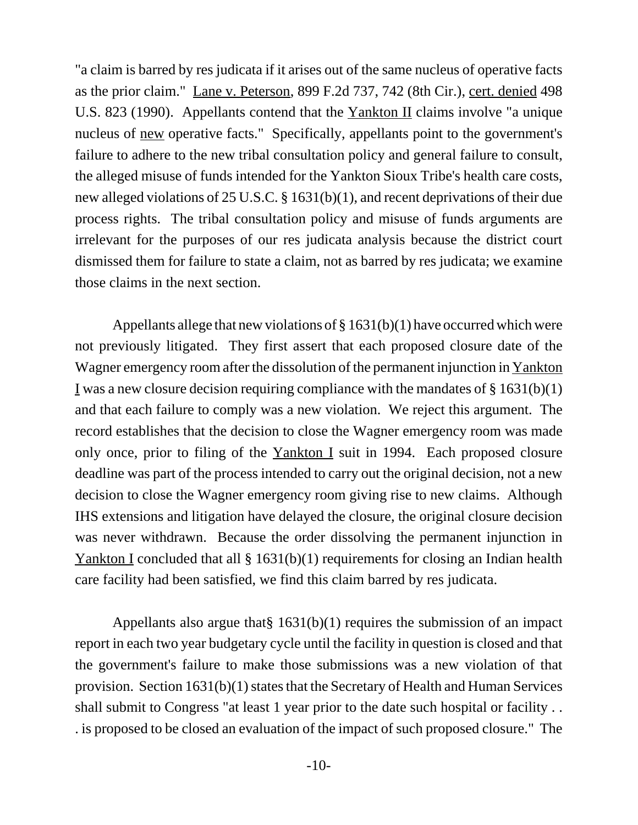"a claim is barred by res judicata if it arises out of the same nucleus of operative facts as the prior claim." Lane v. Peterson, 899 F.2d 737, 742 (8th Cir.), cert. denied 498 U.S. 823 (1990). Appellants contend that the Yankton II claims involve "a unique nucleus of new operative facts." Specifically, appellants point to the government's failure to adhere to the new tribal consultation policy and general failure to consult, the alleged misuse of funds intended for the Yankton Sioux Tribe's health care costs, new alleged violations of 25 U.S.C. § 1631(b)(1), and recent deprivations of their due process rights. The tribal consultation policy and misuse of funds arguments are irrelevant for the purposes of our res judicata analysis because the district court dismissed them for failure to state a claim, not as barred by res judicata; we examine those claims in the next section.

Appellants allege that new violations of  $\S 1631(b)(1)$  have occurred which were not previously litigated. They first assert that each proposed closure date of the Wagner emergency room after the dissolution of the permanent injunction in Yankton I was a new closure decision requiring compliance with the mandates of  $\S 1631(b)(1)$ and that each failure to comply was a new violation. We reject this argument. The record establishes that the decision to close the Wagner emergency room was made only once, prior to filing of the Yankton I suit in 1994. Each proposed closure deadline was part of the process intended to carry out the original decision, not a new decision to close the Wagner emergency room giving rise to new claims. Although IHS extensions and litigation have delayed the closure, the original closure decision was never withdrawn. Because the order dissolving the permanent injunction in Yankton I concluded that all § 1631(b)(1) requirements for closing an Indian health care facility had been satisfied, we find this claim barred by res judicata.

Appellants also argue that§ 1631(b)(1) requires the submission of an impact report in each two year budgetary cycle until the facility in question is closed and that the government's failure to make those submissions was a new violation of that provision. Section 1631(b)(1) states that the Secretary of Health and Human Services shall submit to Congress "at least 1 year prior to the date such hospital or facility . . . is proposed to be closed an evaluation of the impact of such proposed closure." The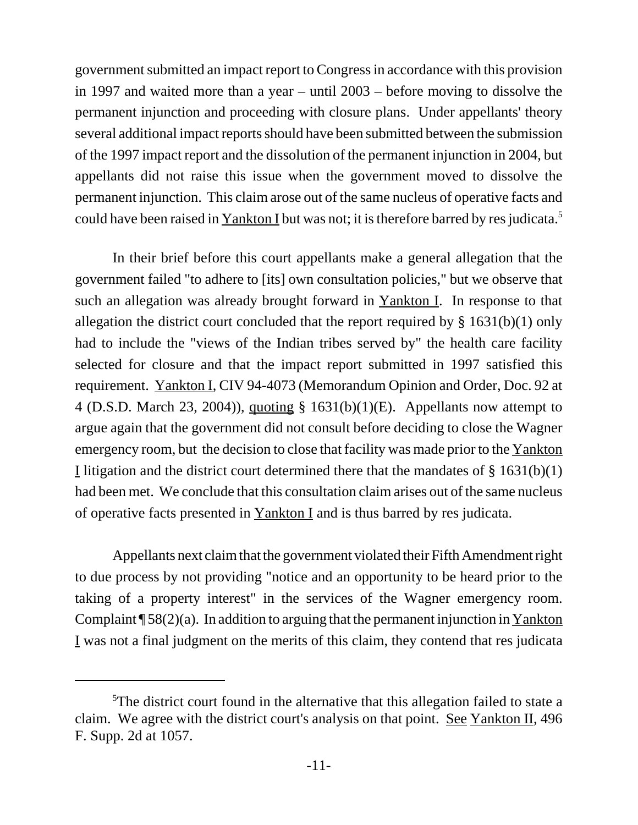government submitted an impact report to Congress in accordance with this provision in 1997 and waited more than a year – until 2003 – before moving to dissolve the permanent injunction and proceeding with closure plans. Under appellants' theory several additional impact reports should have been submitted between the submission of the 1997 impact report and the dissolution of the permanent injunction in 2004, but appellants did not raise this issue when the government moved to dissolve the permanent injunction. This claim arose out of the same nucleus of operative facts and could have been raised in Yankton I but was not; it is therefore barred by res judicata.<sup>5</sup>

In their brief before this court appellants make a general allegation that the government failed "to adhere to [its] own consultation policies," but we observe that such an allegation was already brought forward in Yankton I. In response to that allegation the district court concluded that the report required by § 1631(b)(1) only had to include the "views of the Indian tribes served by" the health care facility selected for closure and that the impact report submitted in 1997 satisfied this requirement. Yankton I, CIV 94-4073 (Memorandum Opinion and Order, Doc. 92 at 4 (D.S.D. March 23, 2004)), quoting § 1631(b)(1)(E). Appellants now attempt to argue again that the government did not consult before deciding to close the Wagner emergency room, but the decision to close that facility was made prior to the Yankton I litigation and the district court determined there that the mandates of § 1631(b)(1) had been met. We conclude that this consultation claim arises out of the same nucleus of operative facts presented in Yankton I and is thus barred by res judicata.

Appellants next claim that the government violated their Fifth Amendment right to due process by not providing "notice and an opportunity to be heard prior to the taking of a property interest" in the services of the Wagner emergency room. Complaint  $\P$  58(2)(a). In addition to arguing that the permanent injunction in Yankton I was not a final judgment on the merits of this claim, they contend that res judicata

<sup>&</sup>lt;sup>5</sup>The district court found in the alternative that this allegation failed to state a claim. We agree with the district court's analysis on that point. See Yankton II, 496 F. Supp. 2d at 1057.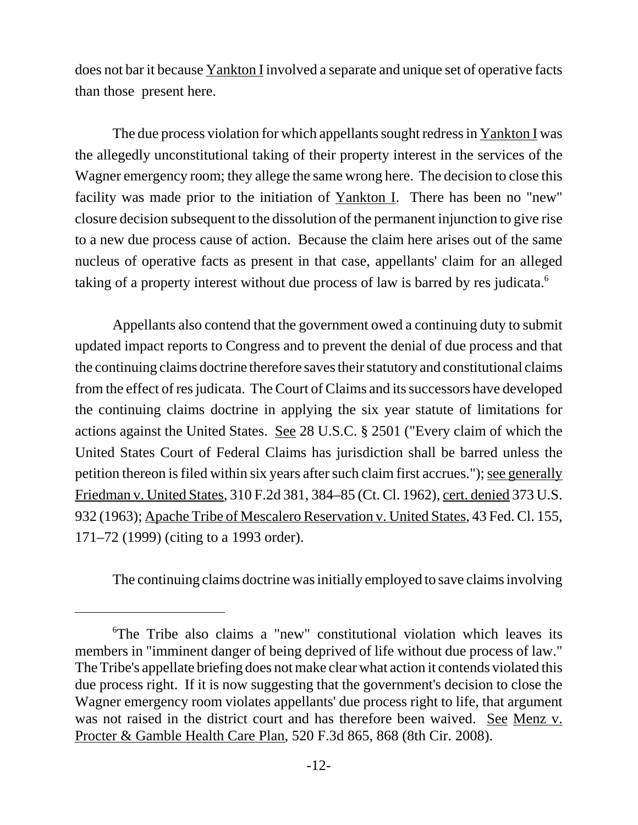does not bar it because Yankton I involved a separate and unique set of operative facts than those present here.

The due process violation for which appellants sought redress in Yankton I was the allegedly unconstitutional taking of their property interest in the services of the Wagner emergency room; they allege the same wrong here. The decision to close this facility was made prior to the initiation of Yankton I. There has been no "new" closure decision subsequent to the dissolution of the permanent injunction to give rise to a new due process cause of action. Because the claim here arises out of the same nucleus of operative facts as present in that case, appellants' claim for an alleged taking of a property interest without due process of law is barred by res judicata.<sup>6</sup>

Appellants also contend that the government owed a continuing duty to submit updated impact reports to Congress and to prevent the denial of due process and that the continuing claims doctrine therefore saves their statutory and constitutional claims from the effect of res judicata. The Court of Claims and its successors have developed the continuing claims doctrine in applying the six year statute of limitations for actions against the United States. See 28 U.S.C. § 2501 ("Every claim of which the United States Court of Federal Claims has jurisdiction shall be barred unless the petition thereon is filed within six years after such claim first accrues."); see generally Friedman v. United States, 310 F.2d 381, 384–85 (Ct. Cl. 1962), cert. denied 373 U.S. 932 (1963); Apache Tribe of Mescalero Reservation v. United States, 43 Fed. Cl. 155, 171–72 (1999) (citing to a 1993 order).

The continuing claims doctrine was initially employed to save claims involving

<sup>6</sup> The Tribe also claims a "new" constitutional violation which leaves its members in "imminent danger of being deprived of life without due process of law." The Tribe's appellate briefing does not make clear what action it contends violated this due process right. If it is now suggesting that the government's decision to close the Wagner emergency room violates appellants' due process right to life, that argument was not raised in the district court and has therefore been waived. See Menz v. Procter & Gamble Health Care Plan, 520 F.3d 865, 868 (8th Cir. 2008).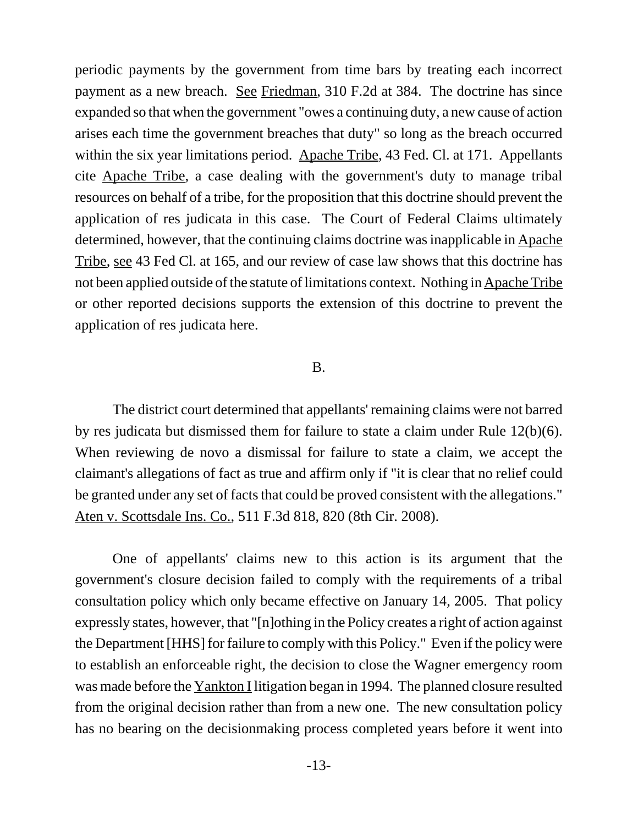periodic payments by the government from time bars by treating each incorrect payment as a new breach. See Friedman, 310 F.2d at 384. The doctrine has since expanded so that when the government "owes a continuing duty, a new cause of action arises each time the government breaches that duty" so long as the breach occurred within the six year limitations period. Apache Tribe, 43 Fed. Cl. at 171. Appellants cite Apache Tribe, a case dealing with the government's duty to manage tribal resources on behalf of a tribe, for the proposition that this doctrine should prevent the application of res judicata in this case. The Court of Federal Claims ultimately determined, however, that the continuing claims doctrine was inapplicable in Apache Tribe, see 43 Fed Cl. at 165, and our review of case law shows that this doctrine has not been applied outside of the statute of limitations context. Nothing in Apache Tribe or other reported decisions supports the extension of this doctrine to prevent the application of res judicata here.

## B.

The district court determined that appellants' remaining claims were not barred by res judicata but dismissed them for failure to state a claim under Rule 12(b)(6). When reviewing de novo a dismissal for failure to state a claim, we accept the claimant's allegations of fact as true and affirm only if "it is clear that no relief could be granted under any set of facts that could be proved consistent with the allegations." Aten v. Scottsdale Ins. Co., 511 F.3d 818, 820 (8th Cir. 2008).

One of appellants' claims new to this action is its argument that the government's closure decision failed to comply with the requirements of a tribal consultation policy which only became effective on January 14, 2005. That policy expressly states, however, that "[n]othing in the Policy creates a right of action against the Department [HHS] for failure to comply with this Policy." Even if the policy were to establish an enforceable right, the decision to close the Wagner emergency room was made before the Yankton I litigation began in 1994. The planned closure resulted from the original decision rather than from a new one. The new consultation policy has no bearing on the decisionmaking process completed years before it went into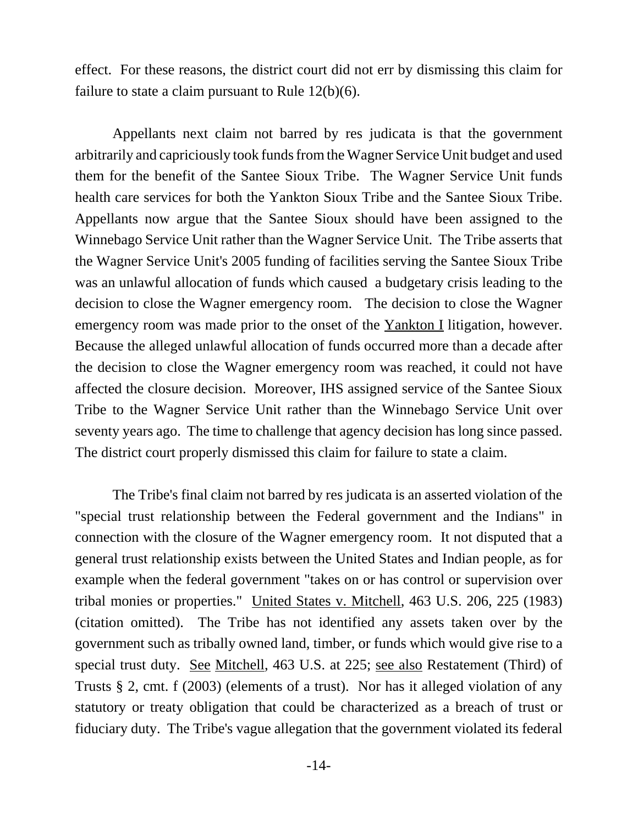effect. For these reasons, the district court did not err by dismissing this claim for failure to state a claim pursuant to Rule  $12(b)(6)$ .

Appellants next claim not barred by res judicata is that the government arbitrarily and capriciously took funds from the Wagner Service Unit budget and used them for the benefit of the Santee Sioux Tribe. The Wagner Service Unit funds health care services for both the Yankton Sioux Tribe and the Santee Sioux Tribe. Appellants now argue that the Santee Sioux should have been assigned to the Winnebago Service Unit rather than the Wagner Service Unit. The Tribe asserts that the Wagner Service Unit's 2005 funding of facilities serving the Santee Sioux Tribe was an unlawful allocation of funds which caused a budgetary crisis leading to the decision to close the Wagner emergency room. The decision to close the Wagner emergency room was made prior to the onset of the Yankton I litigation, however. Because the alleged unlawful allocation of funds occurred more than a decade after the decision to close the Wagner emergency room was reached, it could not have affected the closure decision. Moreover, IHS assigned service of the Santee Sioux Tribe to the Wagner Service Unit rather than the Winnebago Service Unit over seventy years ago. The time to challenge that agency decision has long since passed. The district court properly dismissed this claim for failure to state a claim.

The Tribe's final claim not barred by res judicata is an asserted violation of the "special trust relationship between the Federal government and the Indians" in connection with the closure of the Wagner emergency room. It not disputed that a general trust relationship exists between the United States and Indian people, as for example when the federal government "takes on or has control or supervision over tribal monies or properties." United States v. Mitchell, 463 U.S. 206, 225 (1983) (citation omitted). The Tribe has not identified any assets taken over by the government such as tribally owned land, timber, or funds which would give rise to a special trust duty. See Mitchell, 463 U.S. at 225; see also Restatement (Third) of Trusts § 2, cmt. f (2003) (elements of a trust). Nor has it alleged violation of any statutory or treaty obligation that could be characterized as a breach of trust or fiduciary duty. The Tribe's vague allegation that the government violated its federal